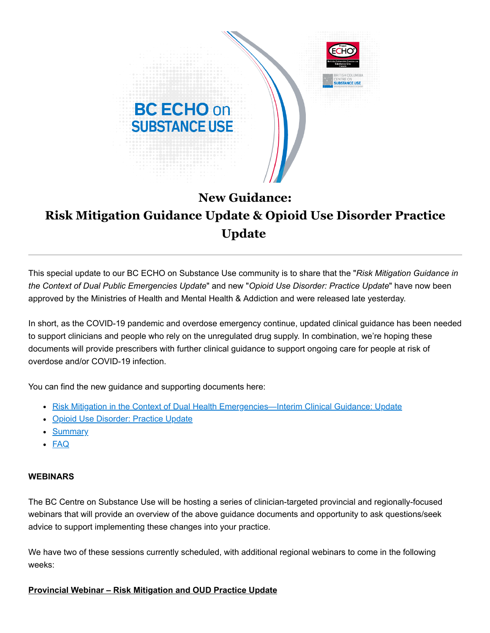

## **New Guidance: Risk Mitigation Guidance Update & Opioid Use Disorder Practice Update**

This special update to our BC ECHO on Substance Use community is to share that the "*Risk Mitigation Guidance in the Context of Dual Public Emergencies Update*" and new "*Opioid Use Disorder: Practice Update*" have now been approved by the Ministries of Health and Mental Health & Addiction and were released late yesterday.

In short, as the COVID-19 pandemic and overdose emergency continue, updated clinical guidance has been needed to support clinicians and people who rely on the unregulated drug supply. In combination, we're hoping these documents will provide prescribers with further clinical guidance to support ongoing care for people at risk of overdose and/or COVID-19 infection.

You can find the new guidance and supporting documents here:

- Risk Mitigation in the Context of Dual [Health Emergencies—Interim Clinical Guidance: Update](https://cmtd1.com/c/443/983dfe1c3851c85c46ba266f353fd4f247bcf4d54719f79aa38e9feee479014823f1f694ea285081)
- [Opioid Use Disorder: Practice](https://cmtd1.com/c/443/983dfe1c3851c85c46ba266f353fd4f247bcf4d54719f79a538cd101cbc6d34023f1f694ea285081) Update
- [Summary](https://cmtd1.com/c/443/983dfe1c3851c85c46ba266f353fd4f247bcf4d54719f79a628624677df1e1f923f1f694ea285081)
- [FAQ](https://cmtd1.com/c/443/983dfe1c3851c85c46ba266f353fd4f247bcf4d54719f79a8e2972fb5acb920e23f1f694ea285081)

## **WEBINARS**

The BC Centre on Substance Use will be hosting a series of clinician-targeted provincial and regionally-focused webinars that will provide an overview of the above guidance documents and opportunity to ask questions/seek advice to support implementing these changes into your practice.

We have two of these sessions currently scheduled, with additional regional webinars to come in the following weeks:

## **Provincial Webinar – Risk Mitigation and OUD Practice Update**